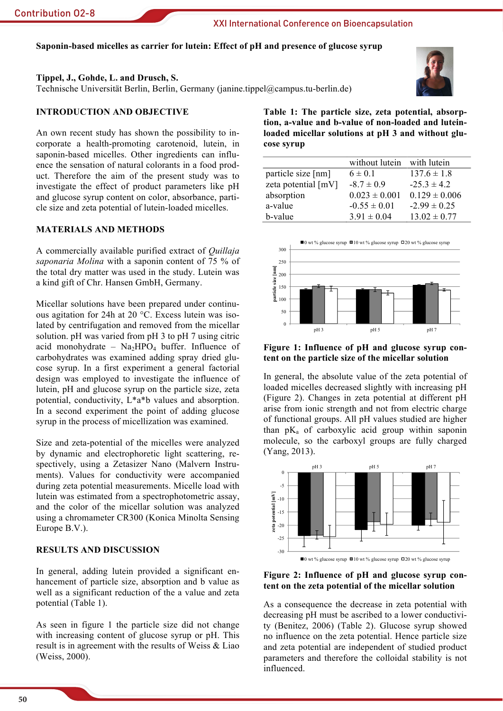# Saponin-based micelles as carrier for lutein: Effect of pH and presence of glucose syrup

#### Tippel, J., Gohde, L. and Drusch, S.

Technische Universität Berlin, Berlin, Germany (janine.tippel@campus.tu-berlin.de)

### **INTRODUCTION AND OBJECTIVE**

An own recent study has shown the possibility to incorporate a health-promoting carotenoid, lutein, in saponin-based micelles. Other ingredients can influence the sensation of natural colorants in a food product. Therefore the aim of the present study was to investigate the effect of product parameters like pH and glucose syrup content on color, absorbance, particle size and zeta potential of lutein-loaded micelles.

## **MATERIALS AND METHODS**

A commercially available purified extract of *Quillaja* saponaria Molina with a saponin content of 75 % of the total dry matter was used in the study. Lutein was a kind gift of Chr. Hansen GmbH, Germany.

Micellar solutions have been prepared under continuous agitation for 24h at 20 °C. Excess lutein was isolated by centrifugation and removed from the micellar solution. pH was varied from pH 3 to pH 7 using citric acid monohydrate -  $Na<sub>2</sub>HPO<sub>4</sub> buffer$ . Influence of carbohydrates was examined adding spray dried glucose syrup. In a first experiment a general factorial design was employed to investigate the influence of lutein, pH and glucose syrup on the particle size, zeta potential, conductivity,  $L^*a^*b$  values and absorption. In a second experiment the point of adding glucose syrup in the process of micellization was examined.

Size and zeta-potential of the micelles were analyzed by dynamic and electrophoretic light scattering, respectively, using a Zetasizer Nano (Malvern Instruments). Values for conductivity were accompanied during zeta potential measurements. Micelle load with lutein was estimated from a spectrophotometric assay, and the color of the micellar solution was analyzed using a chromameter CR300 (Konica Minolta Sensing Europe B.V.).

## **RESULTS AND DISCUSSION**

In general, adding lutein provided a significant enhancement of particle size, absorption and b value as well as a significant reduction of the a value and zeta potential (Table 1).

As seen in figure 1 the particle size did not change with increasing content of glucose syrup or pH. This result is in agreement with the results of Weiss & Liao (Weiss, 2000).



Table 1: The particle size, zeta potential, absorption, a-value and b-value of non-loaded and luteinloaded micellar solutions at pH 3 and without glucose svrup

|                     | without lutein with lutein |                   |
|---------------------|----------------------------|-------------------|
| particle size [nm]  | $6 \pm 0.1$                | $137.6 \pm 1.8$   |
| zeta potential [mV] | $-8.7 \pm 0.9$             | $-25.3 \pm 4.2$   |
| absorption          | $0.023 \pm 0.001$          | $0.129 \pm 0.006$ |
| a-value             | $-0.55 \pm 0.01$           | $-2.99 \pm 0.25$  |
| b-value             | $3.91 \pm 0.04$            | $13.02 \pm 0.77$  |



Figure 1: Influence of pH and glucose syrup content on the particle size of the micellar solution

In general, the absolute value of the zeta potential of loaded micelles decreased slightly with increasing pH (Figure 2). Changes in zeta potential at different pH arise from ionic strength and not from electric charge of functional groups. All pH values studied are higher than  $pK_a$  of carboxylic acid group within saponin molecule, so the carboxyl groups are fully charged (Yang, 2013).



Figure 2: Influence of pH and glucose syrup content on the zeta potential of the micellar solution

As a consequence the decrease in zeta potential with decreasing pH must be ascribed to a lower conductivity (Benitez, 2006) (Table 2). Glucose syrup showed no influence on the zeta potential. Hence particle size and zeta potential are independent of studied product parameters and therefore the colloidal stability is not influenced.